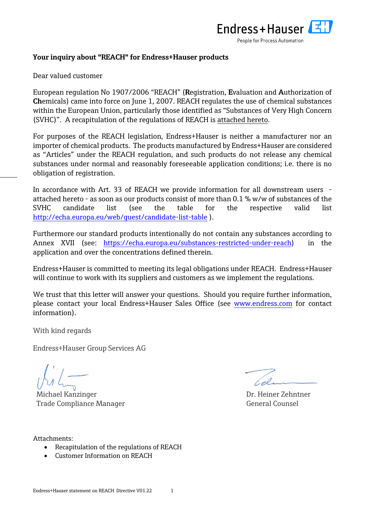

## **Your inquiry about "REACH" for Endress+Hauser products**

Dear valued customer

European regulation No 1907/2006 "REACH" (**R**egistration, **E**valuation and **A**uthorization of **Ch**emicals) came into force on June 1, 2007. REACH regulates the use of chemical substances within the European Union, particularly those identified as "Substances of Very High Concern (SVHC)". A recapitulation of the regulations of REACH is attached hereto.

For purposes of the REACH legislation, Endress+Hauser is neither a manufacturer nor an importer of chemical products. The products manufactured by Endress+Hauser are considered as "Articles" under the REACH regulation, and such products do not release any chemical substances under normal and reasonably foreseeable application conditions; i.e. there is no obligation of registration.

In accordance with Art. 33 of REACH we provide information for all downstream users attached hereto - as soon as our products consist of more than 0.1 % w/w of substances of the SVHC candidate list (see the table for the respective valid list <http://echa.europa.eu/web/guest/candidate-list-table>).

Furthermore our standard products intentionally do not contain any substances according to Annex XVII (see: [https://echa.europa.eu/substances-restricted-under-reach\)](https://echa.europa.eu/substances-restricted-under-reach) in the application and over the concentrations defined therein.

Endress+Hauser is committed to meeting its legal obligations under REACH. Endress+Hauser will continue to work with its suppliers and customers as we implement the regulations.

We trust that this letter will answer your questions. Should you require further information, please contact your local Endress+Hauser Sales Office (see [www.endress.com](http://www.endress.com/) for contact information).

With kind regards

Endress+Hauser Group Services AG

Michael Kanzinger National American School and Dr. Heiner Zehntner Trade Compliance Manager General Counsel

Cel

Attachments:

- Recapitulation of the regulations of REACH
- Customer Information on REACH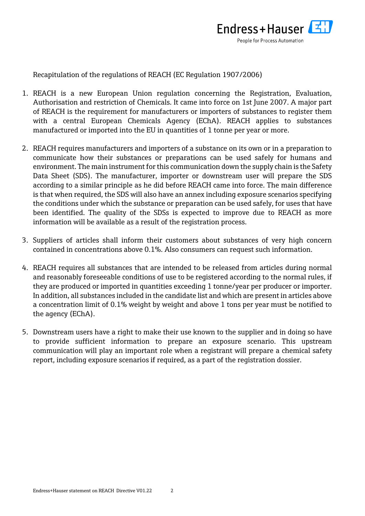

Recapitulation of the regulations of REACH (EC Regulation 1907/2006)

- 1. REACH is a new European Union regulation concerning the Registration, Evaluation, Authorisation and restriction of Chemicals. It came into force on 1st June 2007. A major part of REACH is the requirement for manufacturers or importers of substances to register them with a central [European Chemicals Agency \(EChA\).](http://www.hse.gov.uk/reach/definitions.htm#echa) REACH applies to substances manufactured or imported into the EU in quantities of 1 tonne per year or more.
- 2. REACH requires [manufacturers and importers](http://reach.jrc.it/manufacturers_importers_en.htm) of a [substance on its own or in a preparation](http://reach.jrc.it/substances_en.htm) to communicate how their substances or preparations can be used safely for humans and environment. The main instrument for this communication down the supply chain is the [Safety](http://reach.jrc.it/safety_sheet_en.htm)  [Data Sheet](http://reach.jrc.it/safety_sheet_en.htm) (SDS). The manufacturer, importer or downstream user will prepare the SDS according to a similar principle as he did before REACH came into force. The main difference is that when required, the SDS will also have an annex including [exposure scenarios](http://reach.jrc.it/exposure_scenarios_en.htm) specifying the conditions under which the substance or preparation can be used safely, for uses that have been identified. The quality of the SDSs is expected to improve due to REACH as more information will be available as a result of the registration process.
- 3. Suppliers of [articles](http://reach.jrc.it/substances_articles_en.htm) shall inform their customers about substances of very high concern contained in concentrations above 0.1%. Also consumers can request such information.
- 4. REACH requires all substances that are intended to be released from articles during normal and reasonably foreseeable conditions of use to be registered according to the normal rules, if they are produced or imported in quantities exceeding 1 tonne/year per producer or importer. In addition, all substances included in the [candidate list a](http://reach.jrc.it/authorisation_en.htm#candidatelist)nd which are present in articles above a concentration limit of 0.1% weight by weight and above 1 tons per year must be notified to the agency (EChA).
- 5. [Downstream users](http://reach.jrc.it/downstream_users_en.htm) have a right to make their use known to the supplier and in doing so have to provide sufficient information to prepare an exposure scenario. This upstream communication will play an important role when a registrant will prepare a chemical safety report, including exposure scenarios if required, as a part of the registration dossier.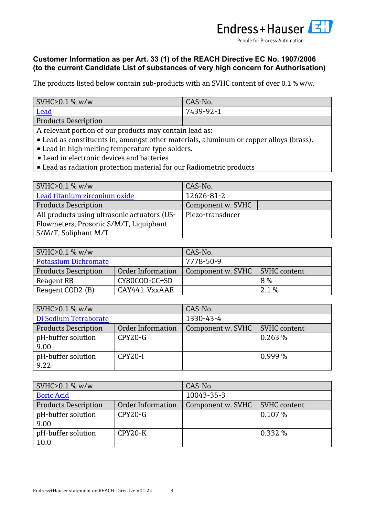

## **Customer Information as per Art. 33 (1) of the REACH Directive EC No. 1907/2006 (to the current Candidate List of substances of very high concern for Authorisation)**

The products listed below contain sub-products with an SVHC content of over 0.1 % w/w.

| NHC > 0.1 % w/w             | CAS-No.   |  |
|-----------------------------|-----------|--|
| Lead                        | 7439-92-1 |  |
| <b>Products Description</b> |           |  |

A relevant portion of our products may contain lead as:

- Lead as constituents in, amongst other materials, aluminum or copper alloys (brass).
- Lead in high melting temperature type solders.
- Lead in electronic devices and batteries
- Lead as radiation protection material for our Radiometric products

| NHC > 0.1 % w/w                              |  | CAS-No.           |  |
|----------------------------------------------|--|-------------------|--|
| Lead titanium zirconium oxide                |  | 12626-81-2        |  |
| <b>Products Description</b>                  |  | Component w. SVHC |  |
| All products using ultrasonic actuators (US- |  | Piezo-transducer  |  |
| Flowmeters, Prosonic S/M/T, Liquiphant       |  |                   |  |
| S/M/T, Soliphant M/T                         |  |                   |  |

| SVHC > 0.1 % w/w            |                   | CAS-No.                           |         |
|-----------------------------|-------------------|-----------------------------------|---------|
| <b>Potassium Dichromate</b> |                   | 7778-50-9                         |         |
| <b>Products Description</b> | Order Information | SVHC content<br>Component w. SVHC |         |
| Reagent RB                  | CY80COD-CC+SD     | 8 %                               |         |
| Reagent COD2 (B)            | CAY441-VxxAAE     |                                   | $2.1\%$ |

| SVHC > 0.1 % w/w            |                   | CAS-No.                          |           |
|-----------------------------|-------------------|----------------------------------|-----------|
| Di Sodium Tetraborate       |                   | 1330-43-4                        |           |
| <b>Products Description</b> | Order Information | Component w. SVHC   SVHC content |           |
| pH-buffer solution          | CPY20-G           |                                  | 0.263%    |
| 9.00                        |                   |                                  |           |
| pH-buffer solution          | CPY20-I           |                                  | $0.999\%$ |
| 9.22                        |                   |                                  |           |

| SVHC>0.1 % w/w                                   |           | CAS-No.           |                     |
|--------------------------------------------------|-----------|-------------------|---------------------|
| <b>Boric Acid</b>                                |           | 10043-35-3        |                     |
| <b>Products Description</b><br>Order Information |           | Component w. SVHC | <b>SVHC</b> content |
| pH-buffer solution                               | $CPY20-G$ |                   | 0.107%              |
| 9.00                                             |           |                   |                     |
| pH-buffer solution                               | CPY20-K   |                   | 0.332%              |
| 10.0                                             |           |                   |                     |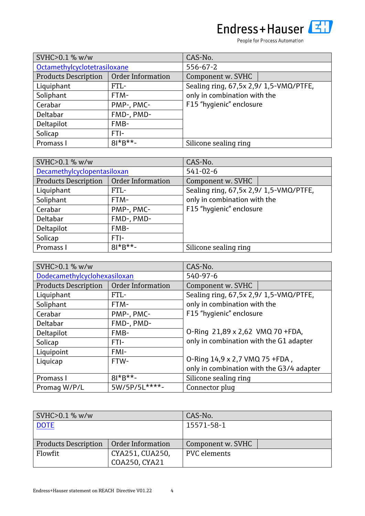People for Process Automation

| SVHC>0.1 % w/w               |                   | CAS-No.                                |  |
|------------------------------|-------------------|----------------------------------------|--|
| Octamethylcyclotetrasiloxane |                   | $556 - 67 - 2$                         |  |
| <b>Products Description</b>  | Order Information | Component w. SVHC                      |  |
| Liquiphant                   | FTL-              | Sealing ring, 67,5x 2,9/ 1,5-VMQ/PTFE, |  |
| Soliphant                    | FTM-              | only in combination with the           |  |
| Cerabar                      | PMP-, PMC-        | F15 "hygienic" enclosure               |  |
| Deltabar                     | FMD-, PMD-        |                                        |  |
| Deltapilot                   | FMB-              |                                        |  |
| Solicap                      | FTI-              |                                        |  |
| Promass I                    | $81*B**$ -        | Silicone sealing ring                  |  |

| SVHC>0.1 % w/w              |                          | CAS-No.                                |  |
|-----------------------------|--------------------------|----------------------------------------|--|
| Decamethylcyclopentasiloxan |                          | $541 - 02 - 6$                         |  |
| <b>Products Description</b> | <b>Order Information</b> | Component w. SVHC                      |  |
| Liquiphant                  | FTL-                     | Sealing ring, 67,5x 2,9/ 1,5-VMQ/PTFE, |  |
| Soliphant                   | FTM-                     | only in combination with the           |  |
| Cerabar                     | PMP-, PMC-               | F15 "hygienic" enclosure               |  |
| Deltabar                    | FMD-, PMD-               |                                        |  |
| Deltapilot                  | FMB-                     |                                        |  |
| Solicap                     | FTI-                     |                                        |  |
| Promass I                   | $81*8**$ -               | Silicone sealing ring                  |  |

| SVHC>0.1 % w/w               |                   | CAS-No.                                   |  |
|------------------------------|-------------------|-------------------------------------------|--|
| Dodecamethylcyclohexasiloxan |                   | 540-97-6                                  |  |
| <b>Products Description</b>  | Order Information | Component w. SVHC                         |  |
| Liquiphant                   | FTL-              | Sealing ring, 67,5x 2,9/ 1,5-VMQ/PTFE,    |  |
| Soliphant                    | FTM-              | only in combination with the              |  |
| Cerabar                      | PMP-, PMC-        | F15 "hygienic" enclosure                  |  |
| Deltabar                     | FMD-, PMD-        |                                           |  |
| Deltapilot                   | FMB-              | O-Ring 21,89 x 2,62 VMQ 70 +FDA,          |  |
| Solicap                      | FTI-              | only in combination with the G1 adapter   |  |
| Liquipoint                   | FMI-              |                                           |  |
| Liquicap                     | FTW-              | O-Ring 14,9 x 2,7 VMQ 75 +FDA,            |  |
|                              |                   | only in combination with the G3/4 adapter |  |
| Promass I                    | $81*8**$ -        | Silicone sealing ring                     |  |
| Promag W/P/L                 | 5W/5P/5L****-     | Connector pluq                            |  |

| SVHC > 0.1 % w/w            |                   | CAS-No.             |  |
|-----------------------------|-------------------|---------------------|--|
| <b>DOTE</b>                 |                   | 15571-58-1          |  |
|                             |                   |                     |  |
| <b>Products Description</b> | Order Information | Component w. SVHC   |  |
| Flowfit                     | CYA251, CUA250,   | <b>PVC</b> elements |  |
|                             | COA250, CYA21     |                     |  |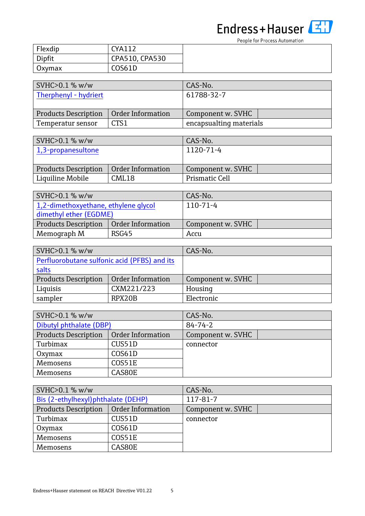People for Process Automation

| Flexdip | <b>CYA112</b>  |
|---------|----------------|
| Dipfit  | CPA510, CPA530 |
| Oxymax  | COS61D         |

| $NHC>0.1%$ W/w                           |      | CAS-No.                 |
|------------------------------------------|------|-------------------------|
| Therphenyl - hydriert                    |      | 61788-32-7              |
|                                          |      |                         |
| Products Description   Order Information |      | Component w. SVHC       |
| Temperatur sensor                        | CTS1 | encapsualting materials |

| $\sqrt{\text{SVMC}}$ > 0.1 % w/w |                   | CAS-No.           |  |
|----------------------------------|-------------------|-------------------|--|
| 1,3-propanesultone               |                   | 1120-71-4         |  |
|                                  |                   |                   |  |
| <b>Products Description</b>      | Order Information | Component w. SVHC |  |
| Liquiline Mobile                 | CML18             | Prismatic Cell    |  |

| $\vert$ SVHC>0.1 % w/w               |                   | CAS-No.           |  |
|--------------------------------------|-------------------|-------------------|--|
| 1,2-dimethoxyethane, ethylene glycol |                   | $110 - 71 - 4$    |  |
| dimethyl ether (EGDME)               |                   |                   |  |
| <b>Products Description</b>          | Order Information | Component w. SVHC |  |
| Memograph M                          | RSG45             | Accu              |  |

| SVHC>0.1 % w/w                               |                   | CAS-No.           |
|----------------------------------------------|-------------------|-------------------|
| Perfluorobutane sulfonic acid (PFBS) and its |                   |                   |
| salts                                        |                   |                   |
| <b>Products Description</b>                  | Order Information | Component w. SVHC |
| Liquisis                                     | CXM221/223        | Housing           |
| sampler                                      | RPX20B            | Electronic        |

| NHC > 0.1 % w/w             |                   | CAS-No.           |  |
|-----------------------------|-------------------|-------------------|--|
| Dibutyl phthalate (DBP)     |                   | $84 - 74 - 2$     |  |
| <b>Products Description</b> | Order Information | Component w. SVHC |  |
| Turbimax                    | CUS51D            | connector         |  |
| Oxymax                      | COS61D            |                   |  |
| Memosens                    | COS51E            |                   |  |
| Memosens                    | CAS80E            |                   |  |

| SVHC > 0.1 % w/w                    |                   | CAS-No.           |  |
|-------------------------------------|-------------------|-------------------|--|
| Bis (2-ethylhexyl) phthalate (DEHP) |                   | 117-81-7          |  |
| <b>Products Description</b>         | Order Information | Component w. SVHC |  |
| Turbimax                            | CUS51D            | connector         |  |
| Oxymax                              | COS61D            |                   |  |
| Memosens                            | COS51E            |                   |  |
| Memosens                            | CAS80E            |                   |  |